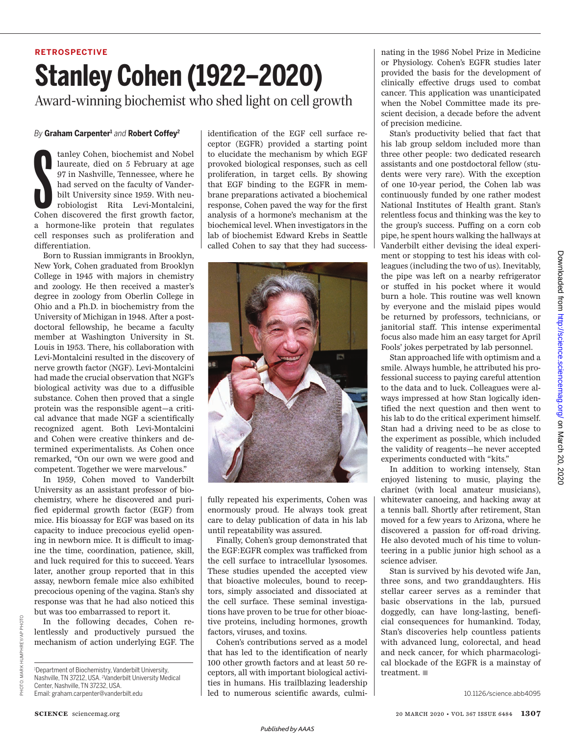## **RETROSPECTIVE Stanley Cohen (1922–2020)** Award-winning biochemist who shed light on cell growth

## *By* **Graham Carpenter <sup>1</sup>** *and* **Robert Coffey 2**

tanley Cohen, biochemist and Nobel<br>laureate, died on 5 February at age<br>97 in Nashville, Tennessee, where he<br>had served on the faculty of Vander-<br>bilt University since 1959. With neu-<br>robiologist Rita Levi-Montalcini,<br>Cohen tanley Cohen, biochemist and Nobel laureate, died on 5 February at age 97 in Nashville, Tennessee, where he had served on the faculty of Vanderbilt University since 1959. With neurobiologist Rita Levi-Montalcini, a hormone-like protein that regulates cell responses such as proliferation and differentiation.

Born to Russian immigrants in Brooklyn, New York, Cohen graduated from Brooklyn College in 1945 with majors in chemistry and zoology. He then received a master's degree in zoology from Oberlin College in Ohio and a Ph.D. in biochemistry from the University of Michigan in 1948. After a postdoctoral fellowship, he became a faculty member at Washington University in St. Louis in 1953. There, his collaboration with Levi-Montalcini resulted in the discovery of nerve growth factor (NGF). Levi-Montalcini had made the crucial observation that NGF's biological activity was due to a diffusible substance. Cohen then proved that a single protein was the responsible agent—a critical advance that made NGF a scientifically recognized agent. Both Levi-Montalcini and Cohen were creative thinkers and determined experimentalists. As Cohen once remarked, "On our own we were good and competent. Together we were marvelous."

In 1959, Cohen moved to Vanderbilt University as an assistant professor of biochemistry, where he discovered and purified epidermal growth factor (EGF) from mice. His bioassay for EGF was based on its capacity to induce precocious eyelid opening in newborn mice. It is difficult to imagine the time, coordination, patience, skill, and luck required for this to succeed. Years later, another group reported that in this assay, newborn female mice also exhibited precocious opening of the vagina. Stan's shy response was that he had also noticed this but was too embarrassed to report it.

In the following decades, Cohen relentlessly and productively pursued the mechanism of action underlying EGF. The identification of the EGF cell surface receptor (EGFR) provided a starting point to elucidate the mechanism by which EGF provoked biological responses, such as cell proliferation, in target cells. By showing that EGF binding to the EGFR in membrane preparations activated a biochemical response, Cohen paved the way for the first analysis of a hormone's mechanism at the biochemical level. When investigators in the lab of biochemist Edward Krebs in Seattle called Cohen to say that they had success-



fully repeated his experiments, Cohen was enormously proud. He always took great care to delay publication of data in his lab until repeatability was assured.

Finally, Cohen's group demonstrated that the EGF:EGFR complex was trafficked from the cell surface to intracellular lysosomes. These studies upended the accepted view that bioactive molecules, bound to receptors, simply associated and dissociated at the cell surface. These seminal investigations have proven to be true for other bioactive proteins, including hormones, growth factors, viruses, and toxins.

Cohen's contributions served as a model that has led to the identification of nearly 100 other growth factors and at least 50 receptors, all with important biological activities in humans. His trailblazing leadership led to numerous scientific awards, culmi-

nating in the 1986 Nobel Prize in Medicine or Physiology. Cohen's EGFR studies later provided the basis for the development of clinically effective drugs used to combat cancer. This application was unanticipated when the Nobel Committee made its prescient decision, a decade before the advent of precision medicine.

Stan's productivity belied that fact that his lab group seldom included more than three other people: two dedicated research assistants and one postdoctoral fellow (students were very rare). With the exception of one 10-year period, the Cohen lab was continuously funded by one rather modest National Institutes of Health grant. Stan's relentless focus and thinking was the key to the group's success. Puffing on a corn cob pipe, he spent hours walking the hallways at Vanderbilt either devising the ideal experiment or stopping to test his ideas with colleagues (including the two of us). Inevitably, the pipe was left on a nearby refrigerator or stuffed in his pocket where it would burn a hole. This routine was well known by everyone and the mislaid pipes would be returned by professors, technicians, or janitorial staff. This intense experimental focus also made him an easy target for April Fools' jokes perpetrated by lab personnel.

Stan approached life with optimism and a smile. Always humble, he attributed his professional success to paying careful attention to the data and to luck. Colleagues were always impressed at how Stan logically identified the next question and then went to his lab to do the critical experiment himself. Stan had a driving need to be as close to the experiment as possible, which included the validity of reagents—he never accepted experiments conducted with "kits."

In addition to working intensely, Stan enjoyed listening to music, playing the clarinet (with local amateur musicians), whitewater canoeing, and hacking away at a tennis ball. Shortly after retirement, Stan moved for a few years to Arizona, where he discovered a passion for off-road driving. He also devoted much of his time to volunteering in a public junior high school as a science adviser.

Stan is survived by his devoted wife Jan, three sons, and two granddaughters. His stellar career serves as a reminder that basic observations in the lab, pursued doggedly, can have long-lasting, beneficial consequences for humankind. Today, Stan's discoveries help countless patients with advanced lung, colorectal, and head and neck cancer, for which pharmacological blockade of the EGFR is a mainstay of treatment.  $\blacksquare$ 

10.1126/science.abb4095

PHOTO: MARK HUMPHREY/AP PHOTO

MARK HUMPHREY/AP PHOTO

PHOTO:

<sup>&</sup>lt;sup>1</sup>Department of Biochemistry, Vanderbilt University, Nashville, TN 37212, USA. <sup>2</sup>Vanderbilt University Medical Center, Nashville, TN 37232, USA. Email: graham.carpenter@vanderbilt.edu